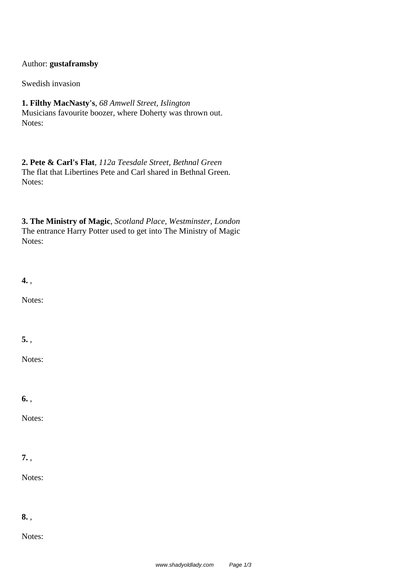## Author: **gustaframsby**

Swedish invasion

## **1. Filthy MacNasty's**, *68 Amwell Street, Islington* Musicians favourite boozer, where Doherty was thrown out.

Notes:

## **2. Pete & Carl's Flat**, *112a Teesdale Street, Bethnal Green* The flat that Libertines Pete and Carl shared in Bethnal Green. Notes:

**3. The Ministry of Magic**, *Scotland Place, Westminster, London* The entrance Harry Potter used to get into The Ministry of Magic Notes:

**4.** ,

Notes:

**5.** ,

Notes:

**6.** ,

Notes:

## **7.** ,

Notes:

**8.** ,

Notes: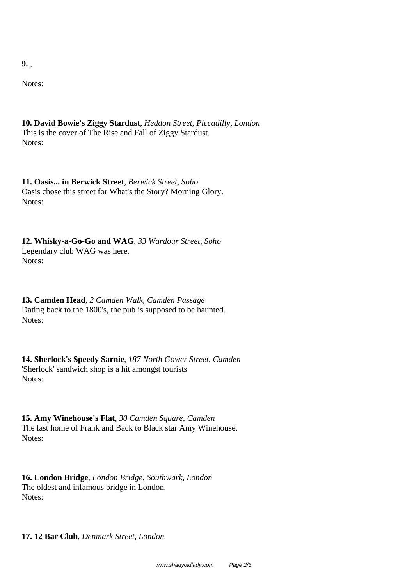**9.** ,

Notes:

**10. David Bowie's Ziggy Stardust**, *Heddon Street, Piccadilly, London* This is the cover of The Rise and Fall of Ziggy Stardust. Notes:

**11. Oasis... in Berwick Street**, *Berwick Street, Soho* Oasis chose this street for What's the Story? Morning Glory. Notes:

**12. Whisky-a-Go-Go and WAG**, *33 Wardour Street, Soho* Legendary club WAG was here. Notes:

**13. Camden Head**, *2 Camden Walk, Camden Passage* Dating back to the 1800's, the pub is supposed to be haunted. Notes:

**14. Sherlock's Speedy Sarnie**, *187 North Gower Street, Camden* 'Sherlock' sandwich shop is a hit amongst tourists Notes:

**15. Amy Winehouse's Flat**, *30 Camden Square, Camden* The last home of Frank and Back to Black star Amy Winehouse. Notes:

**16. London Bridge**, *London Bridge, Southwark, London* The oldest and infamous bridge in London. Notes:

**17. 12 Bar Club**, *Denmark Street, London*